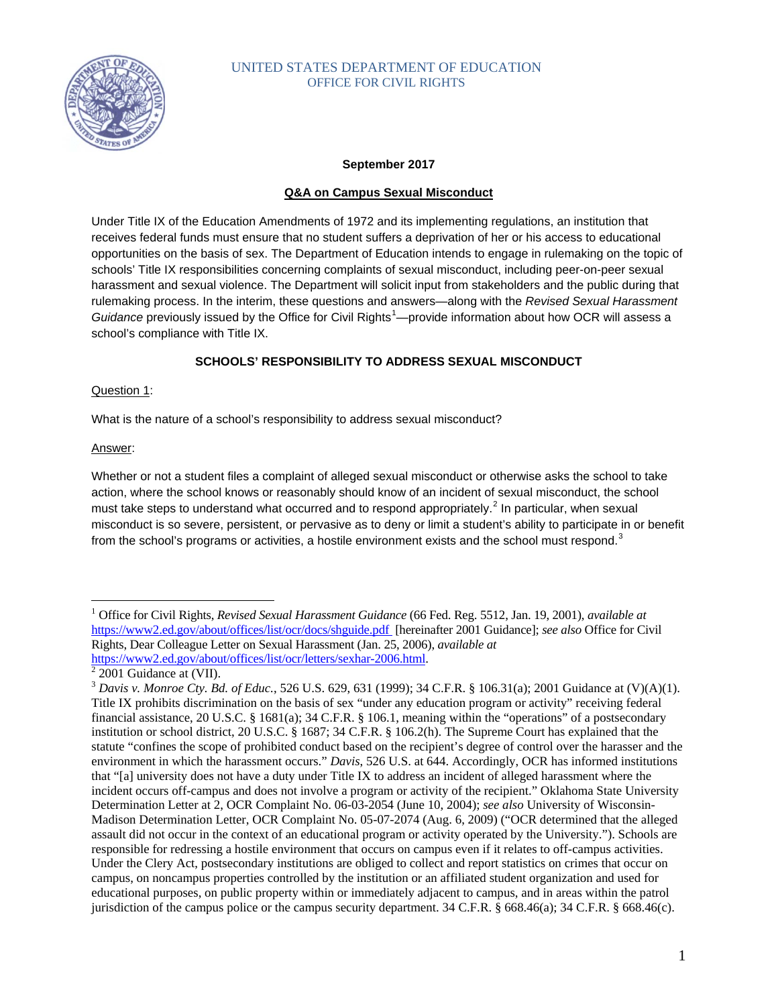

# UNITED STATES DEPARTMENT OF EDUCATION OFFICE FOR CIVIL RIGHTS

## **September 2017**

## **Q&A on Campus Sexual Misconduct**

Under Title IX of the Education Amendments of 1972 and its implementing regulations, an institution that receives federal funds must ensure that no student suffers a deprivation of her or his access to educational opportunities on the basis of sex. The Department of Education intends to engage in rulemaking on the topic of schools' Title IX responsibilities concerning complaints of sexual misconduct, including peer-on-peer sexual harassment and sexual violence. The Department will solicit input from stakeholders and the public during that rulemaking process. In the interim, these questions and answers—along with the *Revised Sexual Harassment*  Guidance previously issued by the Office for Civil Rights<sup>[1](#page-0-0)</sup>—provide information about how OCR will assess a school's compliance with Title IX.

## **SCHOOLS' RESPONSIBILITY TO ADDRESS SEXUAL MISCONDUCT**

## Question 1:

What is the nature of a school's responsibility to address sexual misconduct?

## Answer:

Whether or not a student files a complaint of alleged sexual misconduct or otherwise asks the school to take action, where the school knows or reasonably should know of an incident of sexual misconduct, the school must take steps to understand what occurred and to respond appropriately.<sup>[2](#page-0-1)</sup> In particular, when sexual misconduct is so severe, persistent, or pervasive as to deny or limit a student's ability to participate in or benefit from the school's programs or activities, a hostile environment exists and the school must respond.<sup>[3](#page-0-2)</sup>

<span id="page-0-0"></span> <sup>1</sup> Office for Civil Rights, *Revised Sexual Harassment Guidance* (66 Fed. Reg. 5512, Jan. 19, 2001), *available at*  <https://www2.ed.gov/about/offices/list/ocr/docs/shguide.pdf>[hereinafter 2001 Guidance]; *see also* Office for Civil Rights, Dear Colleague Letter on Sexual Harassment (Jan. 25, 2006), *available at* [https://www2.ed.gov/about/offices/list/ocr/letters/sexhar-2006.html.](https://www2.ed.gov/about/offices/list/ocr/letters/sexhar-2006.html)<br><sup>2</sup> 2001 Guidance at (VII).

<span id="page-0-1"></span>

<span id="page-0-2"></span><sup>3</sup> *Davis v. Monroe Cty. Bd. of Educ.*, 526 U.S. 629, 631 (1999); 34 C.F.R. § 106.31(a); 2001 Guidance at (V)(A)(1). Title IX prohibits discrimination on the basis of sex "under any education program or activity" receiving federal financial assistance, 20 U.S.C. § 1681(a); 34 C.F.R. § 106.1, meaning within the "operations" of a postsecondary institution or school district, 20 U.S.C. § 1687; 34 C.F.R. § 106.2(h). The Supreme Court has explained that the statute "confines the scope of prohibited conduct based on the recipient's degree of control over the harasser and the environment in which the harassment occurs." *Davis*, 526 U.S. at 644. Accordingly, OCR has informed institutions that "[a] university does not have a duty under Title IX to address an incident of alleged harassment where the incident occurs off-campus and does not involve a program or activity of the recipient." Oklahoma State University Determination Letter at 2, OCR Complaint No. 06-03-2054 (June 10, 2004); *see also* University of Wisconsin-Madison Determination Letter, OCR Complaint No. 05-07-2074 (Aug. 6, 2009) ("OCR determined that the alleged assault did not occur in the context of an educational program or activity operated by the University."). Schools are responsible for redressing a hostile environment that occurs on campus even if it relates to off-campus activities. Under the Clery Act, postsecondary institutions are obliged to collect and report statistics on crimes that occur on campus, on noncampus properties controlled by the institution or an affiliated student organization and used for educational purposes, on public property within or immediately adjacent to campus, and in areas within the patrol jurisdiction of the campus police or the campus security department. 34 C.F.R. § 668.46(a); 34 C.F.R. § 668.46(c).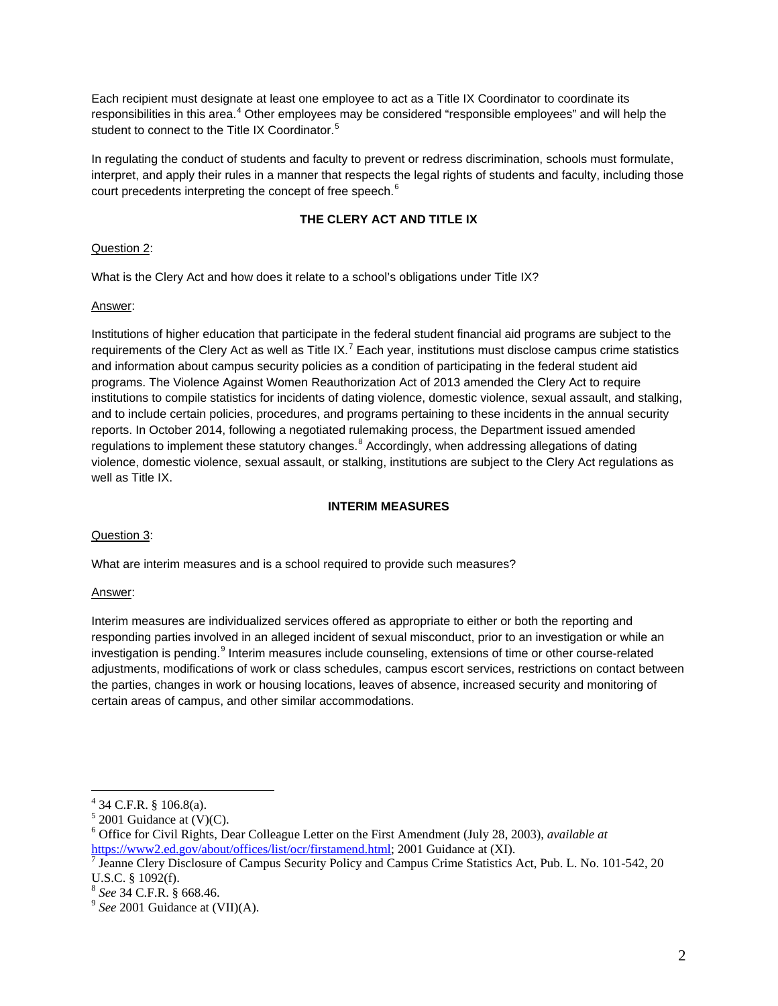Each recipient must designate at least one employee to act as a Title IX Coordinator to coordinate its responsibilities in this area.<sup>[4](#page-1-0)</sup> Other employees may be considered "responsible employees" and will help the student to connect to the Title IX Coordinator.<sup>[5](#page-1-1)</sup>

In regulating the conduct of students and faculty to prevent or redress discrimination, schools must formulate, interpret, and apply their rules in a manner that respects the legal rights of students and faculty, including those court precedents interpreting the concept of free speech.<sup>[6](#page-1-2)</sup>

# **THE CLERY ACT AND TITLE IX**

# Question 2:

What is the Clery Act and how does it relate to a school's obligations under Title IX?

# Answer:

Institutions of higher education that participate in the federal student financial aid programs are subject to the requirements of the Clery Act as well as Title IX.<sup>[7](#page-1-3)</sup> Each year, institutions must disclose campus crime statistics and information about campus security policies as a condition of participating in the federal student aid programs. The Violence Against Women Reauthorization Act of 2013 amended the Clery Act to require institutions to compile statistics for incidents of dating violence, domestic violence, sexual assault, and stalking, and to include certain policies, procedures, and programs pertaining to these incidents in the annual security reports. In October 2014, following a negotiated rulemaking process, the Department issued amended regulations to implement these statutory changes.<sup>[8](#page-1-4)</sup> Accordingly, when addressing allegations of dating violence, domestic violence, sexual assault, or stalking, institutions are subject to the Clery Act regulations as well as Title IX.

# **INTERIM MEASURES**

# Question 3:

What are interim measures and is a school required to provide such measures?

# Answer:

Interim measures are individualized services offered as appropriate to either or both the reporting and responding parties involved in an alleged incident of sexual misconduct, prior to an investigation or while an investigation is pending.<sup>[9](#page-1-5)</sup> Interim measures include counseling, extensions of time or other course-related adjustments, modifications of work or class schedules, campus escort services, restrictions on contact between the parties, changes in work or housing locations, leaves of absence, increased security and monitoring of certain areas of campus, and other similar accommodations.

<span id="page-1-0"></span><sup>&</sup>lt;sup>4</sup> 34 C.F.R. § 106.8(a).<br><sup>5</sup> 2001 Guidance at (V)(C).

<span id="page-1-2"></span><span id="page-1-1"></span><sup>6</sup> Office for Civil Rights, Dear Colleague Letter on the First Amendment (July 28, 2003), *available at*

<span id="page-1-3"></span>[https://www2.ed.gov/about/offices/list/ocr/firstamend.html;](https://www2.ed.gov/about/offices/list/ocr/firstamend.html) 2001 Guidance at (XI).<br><sup>7</sup> Jeanne Clery Disclosure of Campus Security Policy and Campus Crime Statistics Act, Pub. L. No. 101-542, 20 U.S.C. § 1092(f).<br><sup>8</sup> *See* 34 C.F.R. § 668.46.<br><sup>9</sup> *See* 2001 Guidance at (VII)(A).

<span id="page-1-4"></span>

<span id="page-1-5"></span>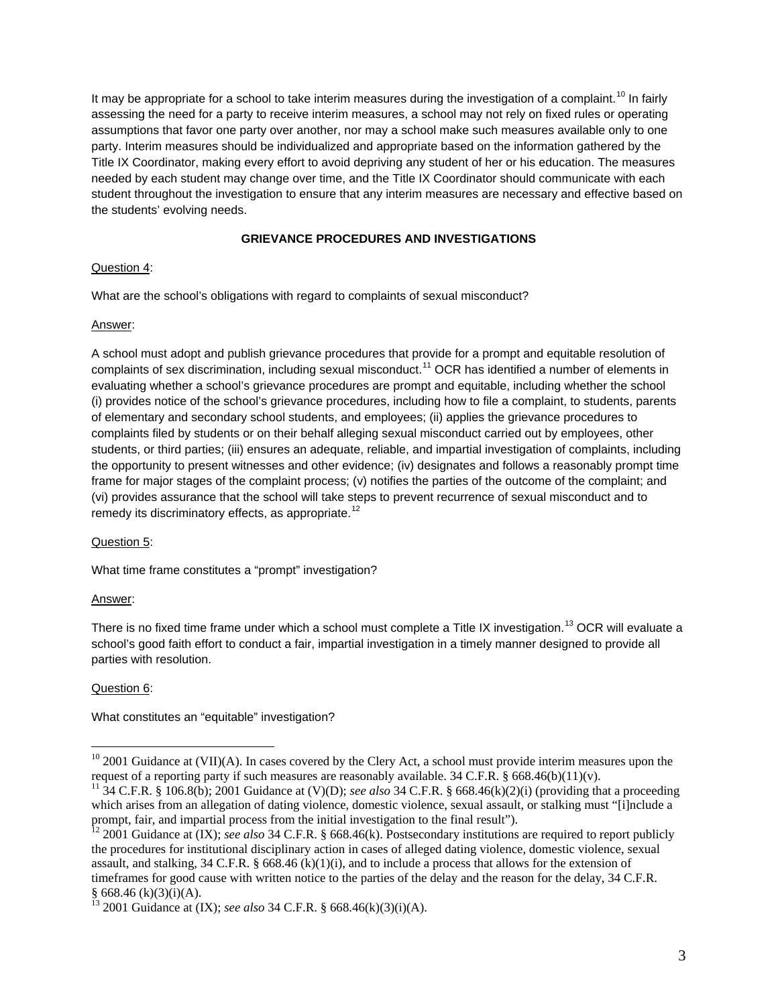It may be appropriate for a school to take interim measures during the investigation of a complaint.<sup>[10](#page-2-0)</sup> In fairly assessing the need for a party to receive interim measures, a school may not rely on fixed rules or operating assumptions that favor one party over another, nor may a school make such measures available only to one party. Interim measures should be individualized and appropriate based on the information gathered by the Title IX Coordinator, making every effort to avoid depriving any student of her or his education. The measures needed by each student may change over time, and the Title IX Coordinator should communicate with each student throughout the investigation to ensure that any interim measures are necessary and effective based on the students' evolving needs.

## **GRIEVANCE PROCEDURES AND INVESTIGATIONS**

## Question 4:

What are the school's obligations with regard to complaints of sexual misconduct?

## Answer:

A school must adopt and publish grievance procedures that provide for a prompt and equitable resolution of complaints of sex discrimination, including sexual misconduct.<sup>[11](#page-2-1)</sup> OCR has identified a number of elements in evaluating whether a school's grievance procedures are prompt and equitable, including whether the school (i) provides notice of the school's grievance procedures, including how to file a complaint, to students, parents of elementary and secondary school students, and employees; (ii) applies the grievance procedures to complaints filed by students or on their behalf alleging sexual misconduct carried out by employees, other students, or third parties; (iii) ensures an adequate, reliable, and impartial investigation of complaints, including the opportunity to present witnesses and other evidence; (iv) designates and follows a reasonably prompt time frame for major stages of the complaint process; (v) notifies the parties of the outcome of the complaint; and (vi) provides assurance that the school will take steps to prevent recurrence of sexual misconduct and to remedy its discriminatory effects, as appropriate.<sup>[12](#page-2-2)</sup>

# Question 5:

What time frame constitutes a "prompt" investigation?

## Answer:

There is no fixed time frame under which a school must complete a Title IX investigation.<sup>[13](#page-2-3)</sup> OCR will evaluate a school's good faith effort to conduct a fair, impartial investigation in a timely manner designed to provide all parties with resolution.

# Question 6:

What constitutes an "equitable" investigation?

<span id="page-2-0"></span><sup>&</sup>lt;sup>10</sup> 2001 Guidance at (VII)(A). In cases covered by the Clery Act, a school must provide interim measures upon the request of a reporting party if such measures are reasonably available. 34 C.F.R. § 668.46(b)(11)(v).

<span id="page-2-1"></span><sup>&</sup>lt;sup>11</sup> 34 C.F.R. § 106.8(b); 2001 Guidance at (V)(D); *see also* 34 C.F.R. § 668.46(k)(2)(i) (providing that a proceeding which arises from an allegation of dating violence, domestic violence, sexual assault, or stalking must "[i]nclude a prompt, fair, and impartial process from the initial investigation to the final result").<br><sup>12</sup> 2001 Guidance at (IX); *see also* 34 C.F.R. § 668.46(k). Postsecondary institutions are required to report publicly

<span id="page-2-2"></span>the procedures for institutional disciplinary action in cases of alleged dating violence, domestic violence, sexual assault, and stalking, 34 C.F.R. § 668.46 (k)(1)(i), and to include a process that allows for the extension of timeframes for good cause with written notice to the parties of the delay and the reason for the delay, 34 C.F.R.  $\S$  668.46 (k)(3)(i)(A).<br>
<sup>13</sup> 2001 Guidence at (IV); see slot 24 C.F.B.  $\S$  668.46 (2)(2)(2)(2).

<span id="page-2-3"></span><sup>§</sup> 668.46 (k)(3)(i)(A). <sup>13</sup> 2001 Guidance at (IX); *see also* 34 C.F.R. § 668.46(k)(3)(i)(A).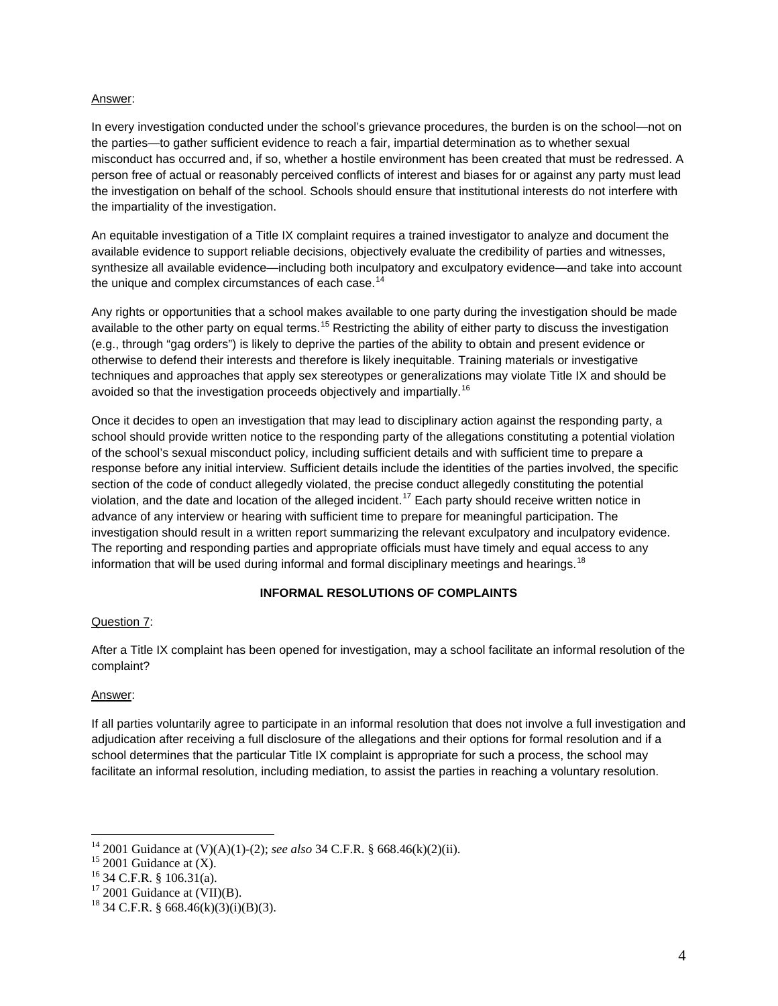#### Answer:

In every investigation conducted under the school's grievance procedures, the burden is on the school—not on the parties—to gather sufficient evidence to reach a fair, impartial determination as to whether sexual misconduct has occurred and, if so, whether a hostile environment has been created that must be redressed. A person free of actual or reasonably perceived conflicts of interest and biases for or against any party must lead the investigation on behalf of the school. Schools should ensure that institutional interests do not interfere with the impartiality of the investigation.

An equitable investigation of a Title IX complaint requires a trained investigator to analyze and document the available evidence to support reliable decisions, objectively evaluate the credibility of parties and witnesses, synthesize all available evidence—including both inculpatory and exculpatory evidence—and take into account the unique and complex circumstances of each case.<sup>[14](#page-3-0)</sup>

Any rights or opportunities that a school makes available to one party during the investigation should be made available to the other party on equal terms.<sup>[15](#page-3-1)</sup> Restricting the ability of either party to discuss the investigation (e.g., through "gag orders") is likely to deprive the parties of the ability to obtain and present evidence or otherwise to defend their interests and therefore is likely inequitable. Training materials or investigative techniques and approaches that apply sex stereotypes or generalizations may violate Title IX and should be avoided so that the investigation proceeds objectively and impartially.<sup>[16](#page-3-2)</sup>

Once it decides to open an investigation that may lead to disciplinary action against the responding party, a school should provide written notice to the responding party of the allegations constituting a potential violation of the school's sexual misconduct policy, including sufficient details and with sufficient time to prepare a response before any initial interview. Sufficient details include the identities of the parties involved, the specific section of the code of conduct allegedly violated, the precise conduct allegedly constituting the potential violation, and the date and location of the alleged incident.<sup>[17](#page-3-3)</sup> Each party should receive written notice in advance of any interview or hearing with sufficient time to prepare for meaningful participation. The investigation should result in a written report summarizing the relevant exculpatory and inculpatory evidence. The reporting and responding parties and appropriate officials must have timely and equal access to any information that will be used during informal and formal disciplinary meetings and hearings.<sup>[18](#page-3-4)</sup>

## **INFORMAL RESOLUTIONS OF COMPLAINTS**

## Question 7:

After a Title IX complaint has been opened for investigation, may a school facilitate an informal resolution of the complaint?

## Answer:

If all parties voluntarily agree to participate in an informal resolution that does not involve a full investigation and adjudication after receiving a full disclosure of the allegations and their options for formal resolution and if a school determines that the particular Title IX complaint is appropriate for such a process, the school may facilitate an informal resolution, including mediation, to assist the parties in reaching a voluntary resolution.

<span id="page-3-0"></span><sup>&</sup>lt;sup>14</sup> 2001 Guidance at (V)(A)(1)-(2); *see also* 34 C.F.R. § 668.46(k)(2)(ii).<br><sup>15</sup> 2001 Guidance at (X).<br><sup>16</sup> 34 C.F.R. § 106.31(a).<br><sup>17</sup> 2001 Guidance at (VII)(B).<br><sup>18</sup> 34 C.F.R. § 668.46(k)(3)(i)(B)(3).

<span id="page-3-1"></span>

<span id="page-3-2"></span>

<span id="page-3-3"></span>

<span id="page-3-4"></span>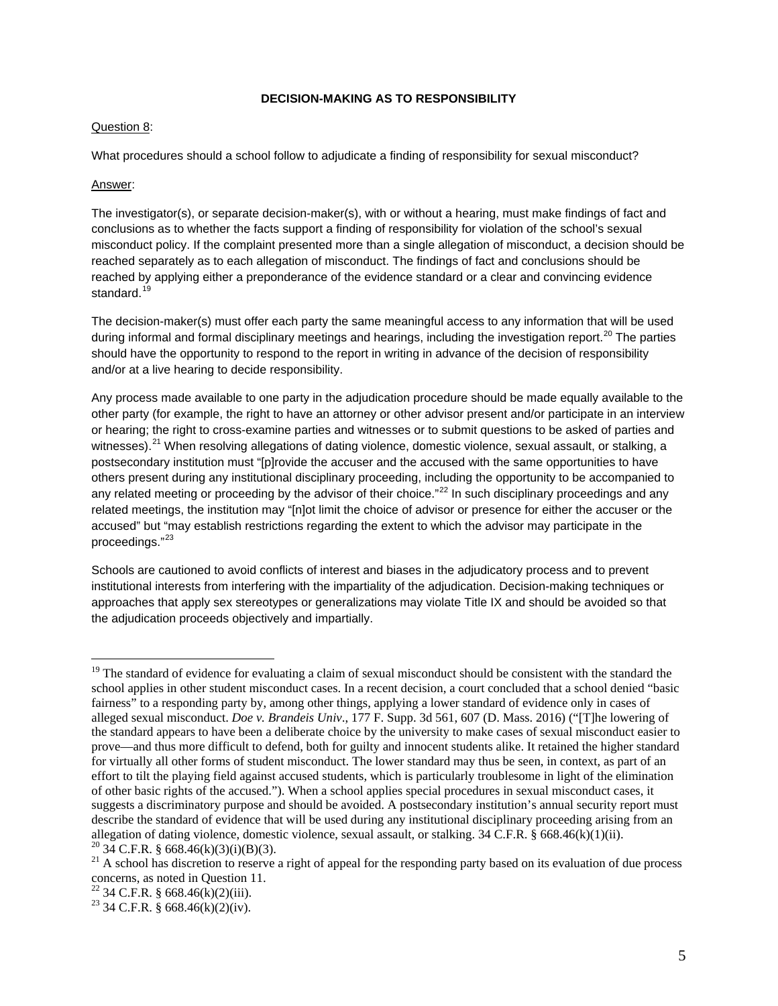### **DECISION-MAKING AS TO RESPONSIBILITY**

#### Question 8:

What procedures should a school follow to adjudicate a finding of responsibility for sexual misconduct?

#### Answer:

The investigator(s), or separate decision-maker(s), with or without a hearing, must make findings of fact and conclusions as to whether the facts support a finding of responsibility for violation of the school's sexual misconduct policy. If the complaint presented more than a single allegation of misconduct, a decision should be reached separately as to each allegation of misconduct. The findings of fact and conclusions should be reached by applying either a preponderance of the evidence standard or a clear and convincing evidence standard.<sup>[19](#page-4-0)</sup>

The decision-maker(s) must offer each party the same meaningful access to any information that will be used during informal and formal disciplinary meetings and hearings, including the investigation report.<sup>[20](#page-4-1)</sup> The parties should have the opportunity to respond to the report in writing in advance of the decision of responsibility and/or at a live hearing to decide responsibility.

Any process made available to one party in the adjudication procedure should be made equally available to the other party (for example, the right to have an attorney or other advisor present and/or participate in an interview or hearing; the right to cross-examine parties and witnesses or to submit questions to be asked of parties and witnesses).<sup>[21](#page-4-2)</sup> When resolving allegations of dating violence, domestic violence, sexual assault, or stalking, a postsecondary institution must "[p]rovide the accuser and the accused with the same opportunities to have others present during any institutional disciplinary proceeding, including the opportunity to be accompanied to any related meeting or proceeding by the advisor of their choice."<sup>[22](#page-4-3)</sup> In such disciplinary proceedings and any related meetings, the institution may "[n]ot limit the choice of advisor or presence for either the accuser or the accused" but "may establish restrictions regarding the extent to which the advisor may participate in the proceedings."[23](#page-4-4)

Schools are cautioned to avoid conflicts of interest and biases in the adjudicatory process and to prevent institutional interests from interfering with the impartiality of the adjudication. Decision-making techniques or approaches that apply sex stereotypes or generalizations may violate Title IX and should be avoided so that the adjudication proceeds objectively and impartially.

<span id="page-4-0"></span> $19$  The standard of evidence for evaluating a claim of sexual misconduct should be consistent with the standard the school applies in other student misconduct cases. In a recent decision, a court concluded that a school denied "basic fairness" to a responding party by, among other things, applying a lower standard of evidence only in cases of alleged sexual misconduct. *Doe v. Brandeis Univ*., 177 F. Supp. 3d 561, 607 (D. Mass. 2016) ("[T]he lowering of the standard appears to have been a deliberate choice by the university to make cases of sexual misconduct easier to prove—and thus more difficult to defend, both for guilty and innocent students alike. It retained the higher standard for virtually all other forms of student misconduct. The lower standard may thus be seen, in context, as part of an effort to tilt the playing field against accused students, which is particularly troublesome in light of the elimination of other basic rights of the accused."). When a school applies special procedures in sexual misconduct cases, it suggests a discriminatory purpose and should be avoided. A postsecondary institution's annual security report must describe the standard of evidence that will be used during any institutional disciplinary proceeding arising from an allegation of dating violence, domestic violence, sexual assault, or stalking, 34 C.F.R. § 668.46(k)(1)(i

<span id="page-4-2"></span><span id="page-4-1"></span><sup>&</sup>lt;sup>20</sup> 34 C.F.R. § 668.46(k)(3)(i)(B)(3).<br><sup>21</sup> A school has discretion to reserve a right of appeal for the responding party based on its evaluation of due process concerns, as noted in Question 11.

<span id="page-4-3"></span><sup>&</sup>lt;sup>22</sup> 34 C.F.R. § 668.46(k)(2)(iii).<br><sup>23</sup> 34 C.F.R. § 668.46(k)(2)(iv).

<span id="page-4-4"></span>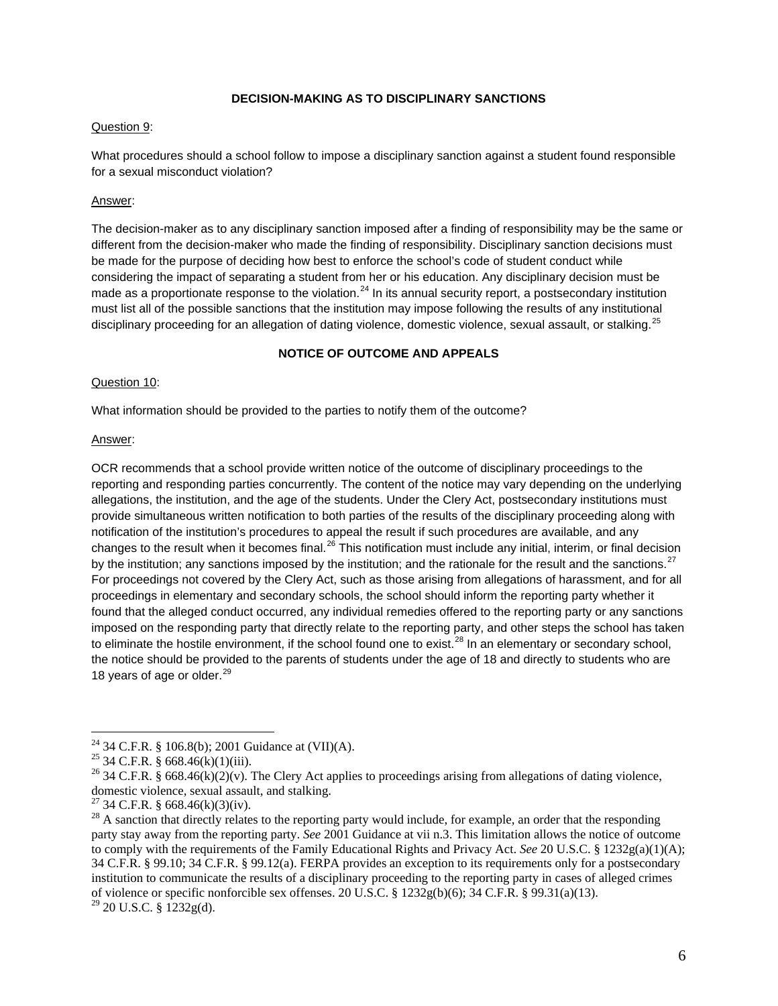## **DECISION-MAKING AS TO DISCIPLINARY SANCTIONS**

#### Question 9:

What procedures should a school follow to impose a disciplinary sanction against a student found responsible for a sexual misconduct violation?

### Answer:

The decision-maker as to any disciplinary sanction imposed after a finding of responsibility may be the same or different from the decision-maker who made the finding of responsibility. Disciplinary sanction decisions must be made for the purpose of deciding how best to enforce the school's code of student conduct while considering the impact of separating a student from her or his education. Any disciplinary decision must be made as a proportionate response to the violation.<sup>[24](#page-5-0)</sup> In its annual security report, a postsecondary institution must list all of the possible sanctions that the institution may impose following the results of any institutional disciplinary proceeding for an allegation of dating violence, domestic violence, sexual assault, or stalking.<sup>[25](#page-5-1)</sup>

#### **NOTICE OF OUTCOME AND APPEALS**

#### Question 10:

What information should be provided to the parties to notify them of the outcome?

#### Answer:

OCR recommends that a school provide written notice of the outcome of disciplinary proceedings to the reporting and responding parties concurrently. The content of the notice may vary depending on the underlying allegations, the institution, and the age of the students. Under the Clery Act, postsecondary institutions must provide simultaneous written notification to both parties of the results of the disciplinary proceeding along with notification of the institution's procedures to appeal the result if such procedures are available, and any changes to the result when it becomes final.<sup>[26](#page-5-2)</sup> This notification must include any initial, interim, or final decision by the institution; any sanctions imposed by the institution; and the rationale for the result and the sanctions.<sup>[27](#page-5-3)</sup> For proceedings not covered by the Clery Act, such as those arising from allegations of harassment, and for all proceedings in elementary and secondary schools, the school should inform the reporting party whether it found that the alleged conduct occurred, any individual remedies offered to the reporting party or any sanctions imposed on the responding party that directly relate to the reporting party, and other steps the school has taken to eliminate the hostile environment, if the school found one to exist.<sup>[28](#page-5-4)</sup> In an elementary or secondary school, the notice should be provided to the parents of students under the age of 18 and directly to students who are 18 years of age or older. $^{29}$  $^{29}$  $^{29}$ 

<span id="page-5-2"></span>

<span id="page-5-1"></span><span id="page-5-0"></span><sup>&</sup>lt;sup>24</sup> 34 C.F.R. § 106.8(b); 2001 Guidance at (VII)(A).<br><sup>25</sup> 34 C.F.R. § 668.46(k)(1)(iii).<br><sup>26</sup> 34 C.F.R. § 668.46(k)(2)(v). The Clery Act applies to proceedings arising from allegations of dating violence,<br>domestic violen

<span id="page-5-5"></span>

<span id="page-5-4"></span><span id="page-5-3"></span><sup>&</sup>lt;sup>27</sup> 34 C.F.R. § 668.46(k)(3)(iv). <sup>28</sup> A sanction that directly relates to the reporting party would include, for example, an order that the responding  $^{28}$ party stay away from the reporting party. *See* 2001 Guidance at vii n.3. This limitation allows the notice of outcome to comply with the requirements of the Family Educational Rights and Privacy Act. *See* 20 U.S.C. § 1232g(a)(1)(A); 34 C.F.R. § 99.10; 34 C.F.R. § 99.12(a). FERPA provides an exception to its requirements only for a postsecondary institution to communicate the results of a disciplinary proceeding to the reporting party in cases of alleged crimes of violence or specific nonforcible sex offenses. 20 U.S.C. § 1232g(b)(6); 34 C.F.R. § 99.31(a)(13). <sup>29</sup> 20 U.S.C. § 1232g(d).